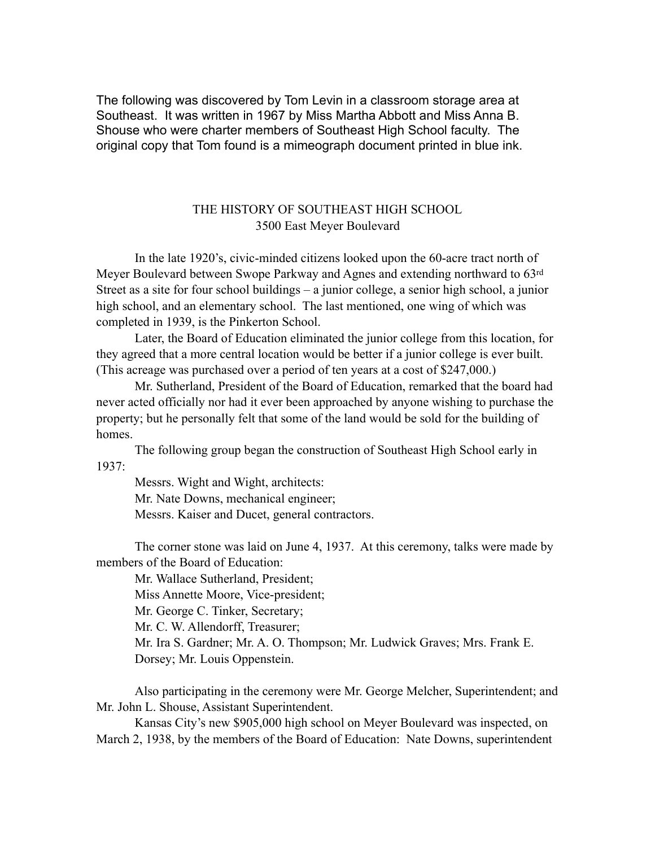The following was discovered by Tom Levin in a classroom storage area at Southeast. It was written in 1967 by Miss Martha Abbott and Miss Anna B. Shouse who were charter members of Southeast High School faculty. The original copy that Tom found is a mimeograph document printed in blue ink.

# THE HISTORY OF SOUTHEAST HIGH SCHOOL 3500 East Meyer Boulevard

 In the late 1920's, civic-minded citizens looked upon the 60-acre tract north of Meyer Boulevard between Swope Parkway and Agnes and extending northward to 63rd Street as a site for four school buildings – a junior college, a senior high school, a junior high school, and an elementary school. The last mentioned, one wing of which was completed in 1939, is the Pinkerton School.

 Later, the Board of Education eliminated the junior college from this location, for they agreed that a more central location would be better if a junior college is ever built. (This acreage was purchased over a period of ten years at a cost of \$247,000.)

 Mr. Sutherland, President of the Board of Education, remarked that the board had never acted officially nor had it ever been approached by anyone wishing to purchase the property; but he personally felt that some of the land would be sold for the building of homes.

 The following group began the construction of Southeast High School early in 1937:

Messrs. Wight and Wight, architects: Mr. Nate Downs, mechanical engineer; Messrs. Kaiser and Ducet, general contractors.

 The corner stone was laid on June 4, 1937. At this ceremony, talks were made by members of the Board of Education:

 Mr. Wallace Sutherland, President; Miss Annette Moore, Vice-president; Mr. George C. Tinker, Secretary; Mr. C. W. Allendorff, Treasurer; Mr. Ira S. Gardner; Mr. A. O. Thompson; Mr. Ludwick Graves; Mrs. Frank E. Dorsey; Mr. Louis Oppenstein.

 Also participating in the ceremony were Mr. George Melcher, Superintendent; and Mr. John L. Shouse, Assistant Superintendent.

 Kansas City's new \$905,000 high school on Meyer Boulevard was inspected, on March 2, 1938, by the members of the Board of Education: Nate Downs, superintendent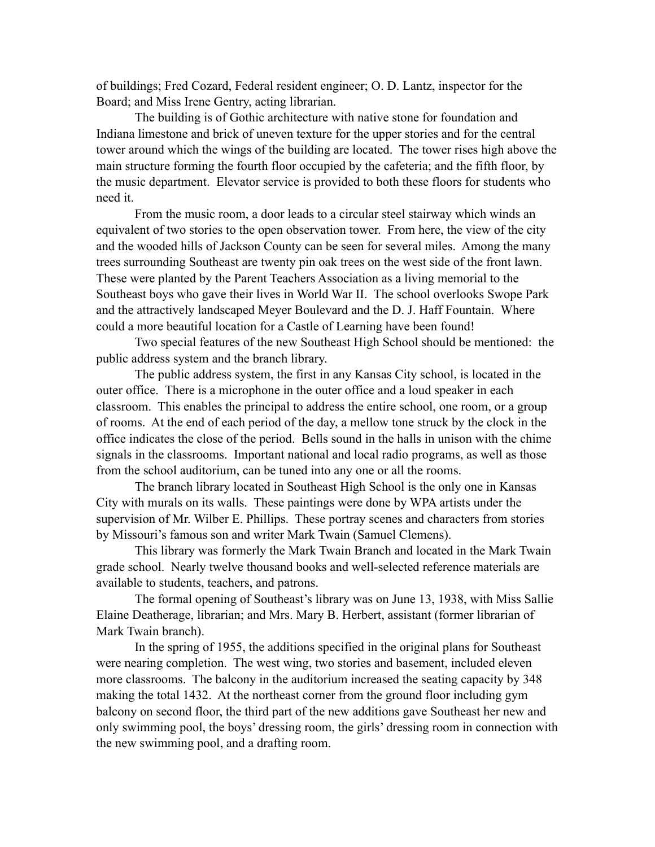of buildings; Fred Cozard, Federal resident engineer; O. D. Lantz, inspector for the Board; and Miss Irene Gentry, acting librarian.

 The building is of Gothic architecture with native stone for foundation and Indiana limestone and brick of uneven texture for the upper stories and for the central tower around which the wings of the building are located. The tower rises high above the main structure forming the fourth floor occupied by the cafeteria; and the fifth floor, by the music department. Elevator service is provided to both these floors for students who need it.

 From the music room, a door leads to a circular steel stairway which winds an equivalent of two stories to the open observation tower. From here, the view of the city and the wooded hills of Jackson County can be seen for several miles. Among the many trees surrounding Southeast are twenty pin oak trees on the west side of the front lawn. These were planted by the Parent Teachers Association as a living memorial to the Southeast boys who gave their lives in World War II. The school overlooks Swope Park and the attractively landscaped Meyer Boulevard and the D. J. Haff Fountain. Where could a more beautiful location for a Castle of Learning have been found!

 Two special features of the new Southeast High School should be mentioned: the public address system and the branch library.

 The public address system, the first in any Kansas City school, is located in the outer office. There is a microphone in the outer office and a loud speaker in each classroom. This enables the principal to address the entire school, one room, or a group of rooms. At the end of each period of the day, a mellow tone struck by the clock in the office indicates the close of the period. Bells sound in the halls in unison with the chime signals in the classrooms. Important national and local radio programs, as well as those from the school auditorium, can be tuned into any one or all the rooms.

 The branch library located in Southeast High School is the only one in Kansas City with murals on its walls. These paintings were done by WPA artists under the supervision of Mr. Wilber E. Phillips. These portray scenes and characters from stories by Missouri's famous son and writer Mark Twain (Samuel Clemens).

 This library was formerly the Mark Twain Branch and located in the Mark Twain grade school. Nearly twelve thousand books and well-selected reference materials are available to students, teachers, and patrons.

 The formal opening of Southeast's library was on June 13, 1938, with Miss Sallie Elaine Deatherage, librarian; and Mrs. Mary B. Herbert, assistant (former librarian of Mark Twain branch).

 In the spring of 1955, the additions specified in the original plans for Southeast were nearing completion. The west wing, two stories and basement, included eleven more classrooms. The balcony in the auditorium increased the seating capacity by 348 making the total 1432. At the northeast corner from the ground floor including gym balcony on second floor, the third part of the new additions gave Southeast her new and only swimming pool, the boys' dressing room, the girls' dressing room in connection with the new swimming pool, and a drafting room.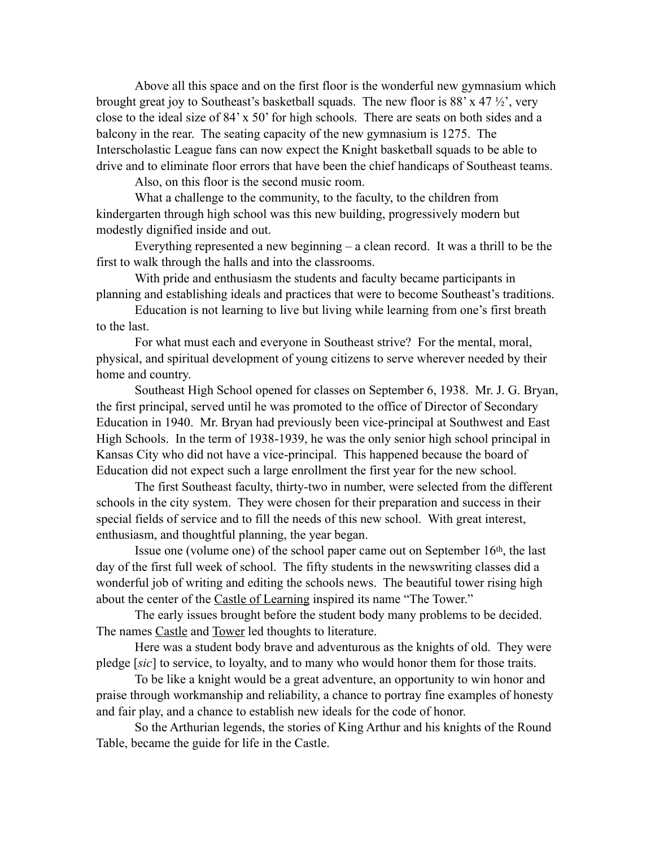Above all this space and on the first floor is the wonderful new gymnasium which brought great joy to Southeast's basketball squads. The new floor is  $88' \times 47'$  /2, very close to the ideal size of 84' x 50' for high schools. There are seats on both sides and a balcony in the rear. The seating capacity of the new gymnasium is 1275. The Interscholastic League fans can now expect the Knight basketball squads to be able to drive and to eliminate floor errors that have been the chief handicaps of Southeast teams.

Also, on this floor is the second music room.

 What a challenge to the community, to the faculty, to the children from kindergarten through high school was this new building, progressively modern but modestly dignified inside and out.

 Everything represented a new beginning – a clean record. It was a thrill to be the first to walk through the halls and into the classrooms.

 With pride and enthusiasm the students and faculty became participants in planning and establishing ideals and practices that were to become Southeast's traditions.

 Education is not learning to live but living while learning from one's first breath to the last.

 For what must each and everyone in Southeast strive? For the mental, moral, physical, and spiritual development of young citizens to serve wherever needed by their home and country.

 Southeast High School opened for classes on September 6, 1938. Mr. J. G. Bryan, the first principal, served until he was promoted to the office of Director of Secondary Education in 1940. Mr. Bryan had previously been vice-principal at Southwest and East High Schools. In the term of 1938-1939, he was the only senior high school principal in Kansas City who did not have a vice-principal. This happened because the board of Education did not expect such a large enrollment the first year for the new school.

 The first Southeast faculty, thirty-two in number, were selected from the different schools in the city system. They were chosen for their preparation and success in their special fields of service and to fill the needs of this new school. With great interest, enthusiasm, and thoughtful planning, the year began.

 Issue one (volume one) of the school paper came out on September 16th, the last day of the first full week of school. The fifty students in the newswriting classes did a wonderful job of writing and editing the schools news. The beautiful tower rising high about the center of the Castle of Learning inspired its name "The Tower."

 The early issues brought before the student body many problems to be decided. The names Castle and Tower led thoughts to literature.

 Here was a student body brave and adventurous as the knights of old. They were pledge [*sic*] to service, to loyalty, and to many who would honor them for those traits.

 To be like a knight would be a great adventure, an opportunity to win honor and praise through workmanship and reliability, a chance to portray fine examples of honesty and fair play, and a chance to establish new ideals for the code of honor.

 So the Arthurian legends, the stories of King Arthur and his knights of the Round Table, became the guide for life in the Castle.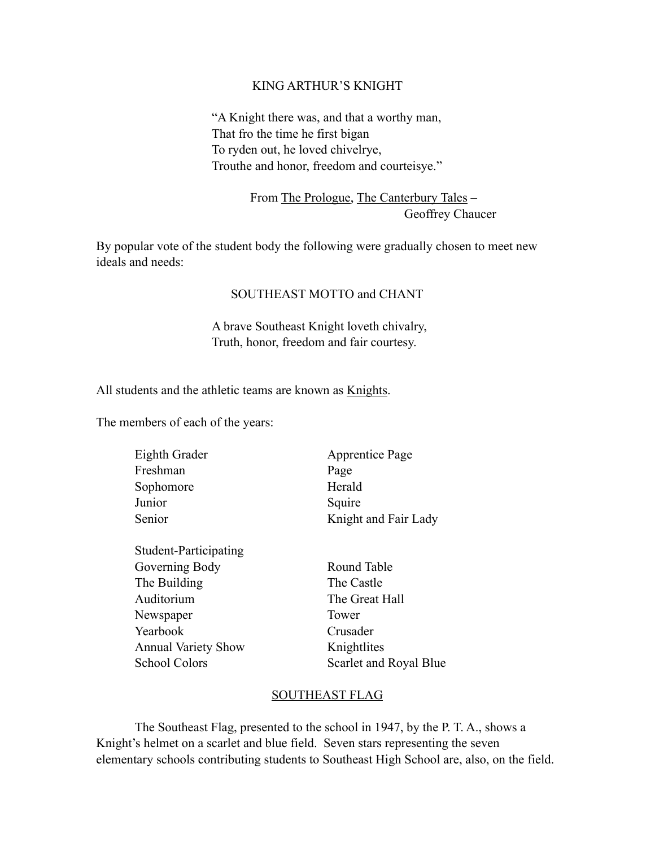### KING ARTHUR'S KNIGHT

"A Knight there was, and that a worthy man, That fro the time he first bigan To ryden out, he loved chivelrye, Trouthe and honor, freedom and courteisye."

> From The Prologue, The Canterbury Tales – Geoffrey Chaucer

By popular vote of the student body the following were gradually chosen to meet new ideals and needs:

## SOUTHEAST MOTTO and CHANT

A brave Southeast Knight loveth chivalry, Truth, honor, freedom and fair courtesy.

All students and the athletic teams are known as Knights.

The members of each of the years:

| Eighth Grader | <b>Apprentice Page</b> |
|---------------|------------------------|
| Freshman      | Page                   |
| Sophomore     | Herald                 |
| Junior        | Squire                 |
| Senior        | Knight and Fair Lady   |
|               |                        |

| Student-Participating      |             |
|----------------------------|-------------|
| Governing Body             | Round Tabl  |
| The Building               | The Castle  |
| Auditorium                 | The Great I |
| Newspaper                  | Tower       |
| Yearbook                   | Crusader    |
| <b>Annual Variety Show</b> | Knightlites |
| <b>School Colors</b>       | Scarlet and |
|                            |             |

Round Table The Great Hall Crusader Scarlet and Royal Blue

## SOUTHEAST FLAG

 The Southeast Flag, presented to the school in 1947, by the P. T. A., shows a Knight's helmet on a scarlet and blue field. Seven stars representing the seven elementary schools contributing students to Southeast High School are, also, on the field.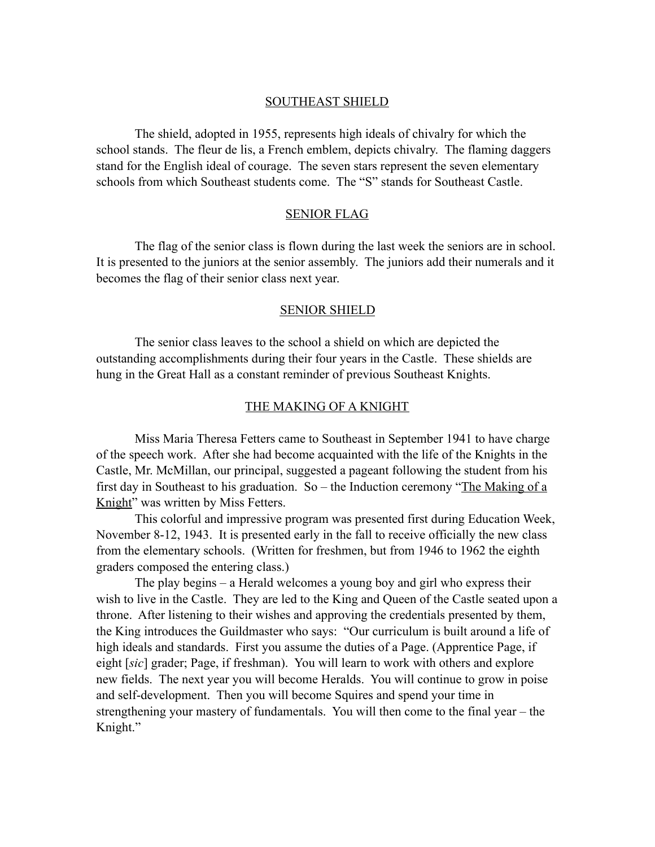### SOUTHEAST SHIELD

 The shield, adopted in 1955, represents high ideals of chivalry for which the school stands. The fleur de lis, a French emblem, depicts chivalry. The flaming daggers stand for the English ideal of courage. The seven stars represent the seven elementary schools from which Southeast students come. The "S" stands for Southeast Castle.

#### SENIOR FLAG

 The flag of the senior class is flown during the last week the seniors are in school. It is presented to the juniors at the senior assembly. The juniors add their numerals and it becomes the flag of their senior class next year.

#### SENIOR SHIELD

 The senior class leaves to the school a shield on which are depicted the outstanding accomplishments during their four years in the Castle. These shields are hung in the Great Hall as a constant reminder of previous Southeast Knights.

### THE MAKING OF A KNIGHT

 Miss Maria Theresa Fetters came to Southeast in September 1941 to have charge of the speech work. After she had become acquainted with the life of the Knights in the Castle, Mr. McMillan, our principal, suggested a pageant following the student from his first day in Southeast to his graduation. So – the Induction ceremony "The Making of a Knight" was written by Miss Fetters.

 This colorful and impressive program was presented first during Education Week, November 8-12, 1943. It is presented early in the fall to receive officially the new class from the elementary schools. (Written for freshmen, but from 1946 to 1962 the eighth graders composed the entering class.)

 The play begins – a Herald welcomes a young boy and girl who express their wish to live in the Castle. They are led to the King and Queen of the Castle seated upon a throne. After listening to their wishes and approving the credentials presented by them, the King introduces the Guildmaster who says: "Our curriculum is built around a life of high ideals and standards. First you assume the duties of a Page. (Apprentice Page, if eight [*sic*] grader; Page, if freshman). You will learn to work with others and explore new fields. The next year you will become Heralds. You will continue to grow in poise and self-development. Then you will become Squires and spend your time in strengthening your mastery of fundamentals. You will then come to the final year – the Knight."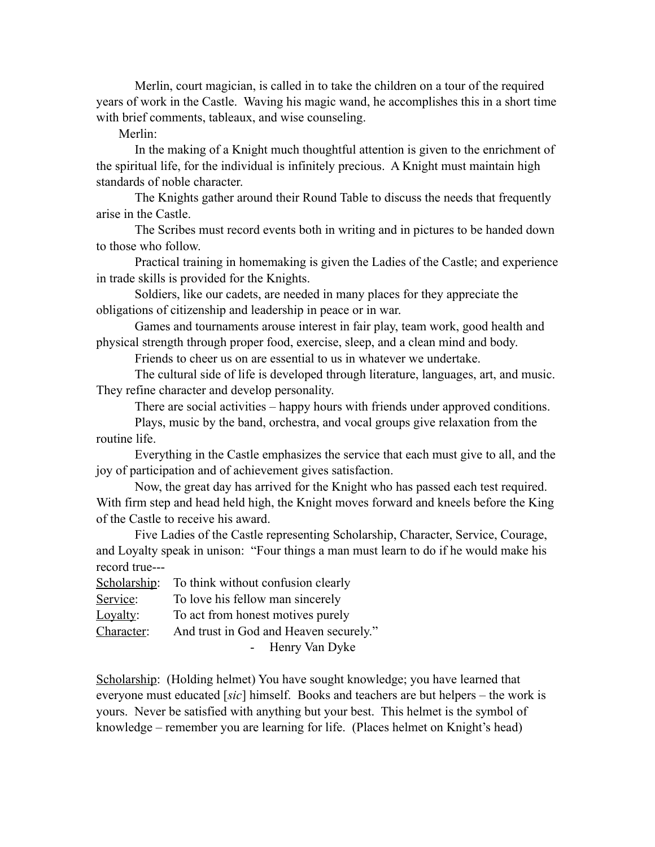Merlin, court magician, is called in to take the children on a tour of the required years of work in the Castle. Waving his magic wand, he accomplishes this in a short time with brief comments, tableaux, and wise counseling.

Merlin:

 In the making of a Knight much thoughtful attention is given to the enrichment of the spiritual life, for the individual is infinitely precious. A Knight must maintain high standards of noble character.

 The Knights gather around their Round Table to discuss the needs that frequently arise in the Castle.

 The Scribes must record events both in writing and in pictures to be handed down to those who follow.

 Practical training in homemaking is given the Ladies of the Castle; and experience in trade skills is provided for the Knights.

 Soldiers, like our cadets, are needed in many places for they appreciate the obligations of citizenship and leadership in peace or in war.

 Games and tournaments arouse interest in fair play, team work, good health and physical strength through proper food, exercise, sleep, and a clean mind and body.

Friends to cheer us on are essential to us in whatever we undertake.

 The cultural side of life is developed through literature, languages, art, and music. They refine character and develop personality.

There are social activities – happy hours with friends under approved conditions.

 Plays, music by the band, orchestra, and vocal groups give relaxation from the routine life.

 Everything in the Castle emphasizes the service that each must give to all, and the joy of participation and of achievement gives satisfaction.

 Now, the great day has arrived for the Knight who has passed each test required. With firm step and head held high, the Knight moves forward and kneels before the King of the Castle to receive his award.

 Five Ladies of the Castle representing Scholarship, Character, Service, Courage, and Loyalty speak in unison: "Four things a man must learn to do if he would make his record true---

|            | Scholarship: To think without confusion clearly |  |
|------------|-------------------------------------------------|--|
| Service:   | To love his fellow man sincerely                |  |
| Loyalty:   | To act from honest motives purely               |  |
| Character: | And trust in God and Heaven securely."          |  |
|            | Henry Van Dyke                                  |  |

Scholarship: (Holding helmet) You have sought knowledge; you have learned that everyone must educated [*sic*] himself. Books and teachers are but helpers – the work is yours. Never be satisfied with anything but your best. This helmet is the symbol of knowledge – remember you are learning for life. (Places helmet on Knight's head)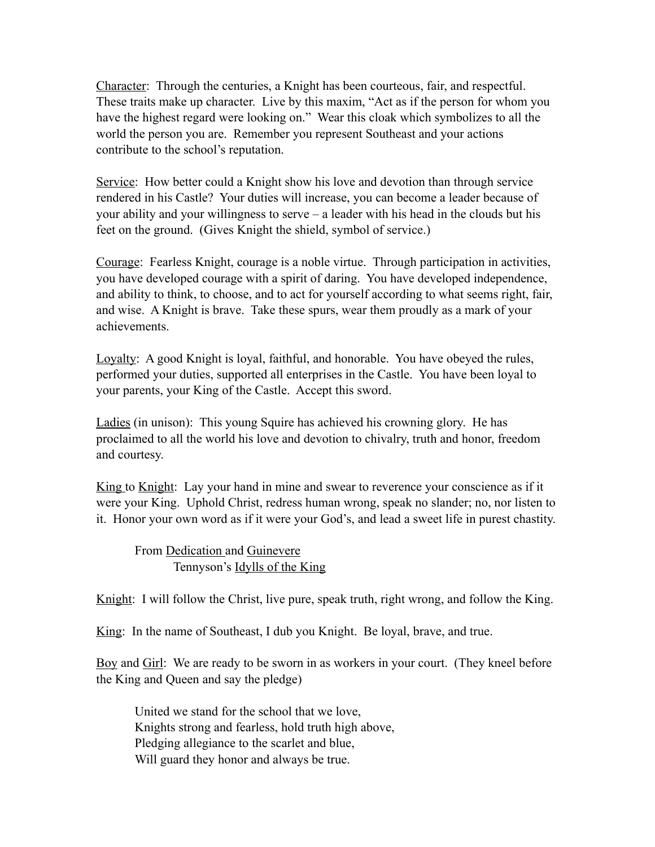Character: Through the centuries, a Knight has been courteous, fair, and respectful. These traits make up character. Live by this maxim, "Act as if the person for whom you have the highest regard were looking on." Wear this cloak which symbolizes to all the world the person you are. Remember you represent Southeast and your actions contribute to the school's reputation.

Service: How better could a Knight show his love and devotion than through service rendered in his Castle? Your duties will increase, you can become a leader because of your ability and your willingness to serve – a leader with his head in the clouds but his feet on the ground. (Gives Knight the shield, symbol of service.)

Courage: Fearless Knight, courage is a noble virtue. Through participation in activities, you have developed courage with a spirit of daring. You have developed independence, and ability to think, to choose, and to act for yourself according to what seems right, fair, and wise. A Knight is brave. Take these spurs, wear them proudly as a mark of your achievements.

Loyalty: A good Knight is loyal, faithful, and honorable. You have obeyed the rules, performed your duties, supported all enterprises in the Castle. You have been loyal to your parents, your King of the Castle. Accept this sword.

Ladies (in unison): This young Squire has achieved his crowning glory. He has proclaimed to all the world his love and devotion to chivalry, truth and honor, freedom and courtesy.

King to Knight: Lay your hand in mine and swear to reverence your conscience as if it were your King. Uphold Christ, redress human wrong, speak no slander; no, nor listen to it. Honor your own word as if it were your God's, and lead a sweet life in purest chastity.

From Dedication and Guinevere Tennyson's Idylls of the King

Knight: I will follow the Christ, live pure, speak truth, right wrong, and follow the King.

King: In the name of Southeast, I dub you Knight. Be loyal, brave, and true.

Boy and Girl: We are ready to be sworn in as workers in your court. (They kneel before the King and Queen and say the pledge)

United we stand for the school that we love, Knights strong and fearless, hold truth high above, Pledging allegiance to the scarlet and blue, Will guard they honor and always be true.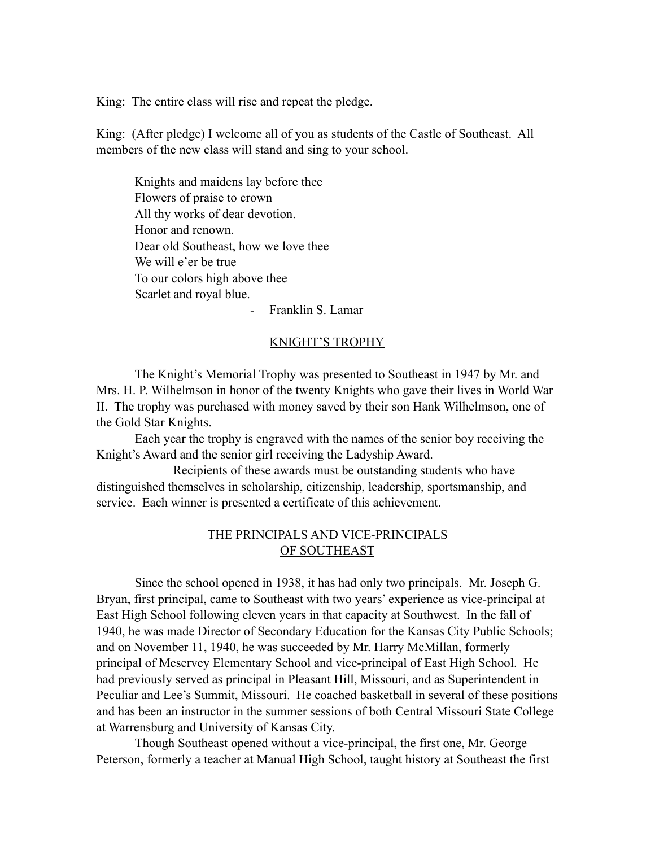King: The entire class will rise and repeat the pledge.

King: (After pledge) I welcome all of you as students of the Castle of Southeast. All members of the new class will stand and sing to your school.

Knights and maidens lay before thee Flowers of praise to crown All thy works of dear devotion. Honor and renown. Dear old Southeast, how we love thee We will e'er be true To our colors high above thee Scarlet and royal blue.

- Franklin S. Lamar

### KNIGHT'S TROPHY

The Knight's Memorial Trophy was presented to Southeast in 1947 by Mr. and Mrs. H. P. Wilhelmson in honor of the twenty Knights who gave their lives in World War II. The trophy was purchased with money saved by their son Hank Wilhelmson, one of the Gold Star Knights.

Each year the trophy is engraved with the names of the senior boy receiving the Knight's Award and the senior girl receiving the Ladyship Award.

 Recipients of these awards must be outstanding students who have distinguished themselves in scholarship, citizenship, leadership, sportsmanship, and service. Each winner is presented a certificate of this achievement.

# THE PRINCIPALS AND VICE-PRINCIPALS OF SOUTHEAST

 Since the school opened in 1938, it has had only two principals. Mr. Joseph G. Bryan, first principal, came to Southeast with two years' experience as vice-principal at East High School following eleven years in that capacity at Southwest. In the fall of 1940, he was made Director of Secondary Education for the Kansas City Public Schools; and on November 11, 1940, he was succeeded by Mr. Harry McMillan, formerly principal of Meservey Elementary School and vice-principal of East High School. He had previously served as principal in Pleasant Hill, Missouri, and as Superintendent in Peculiar and Lee's Summit, Missouri. He coached basketball in several of these positions and has been an instructor in the summer sessions of both Central Missouri State College at Warrensburg and University of Kansas City.

 Though Southeast opened without a vice-principal, the first one, Mr. George Peterson, formerly a teacher at Manual High School, taught history at Southeast the first